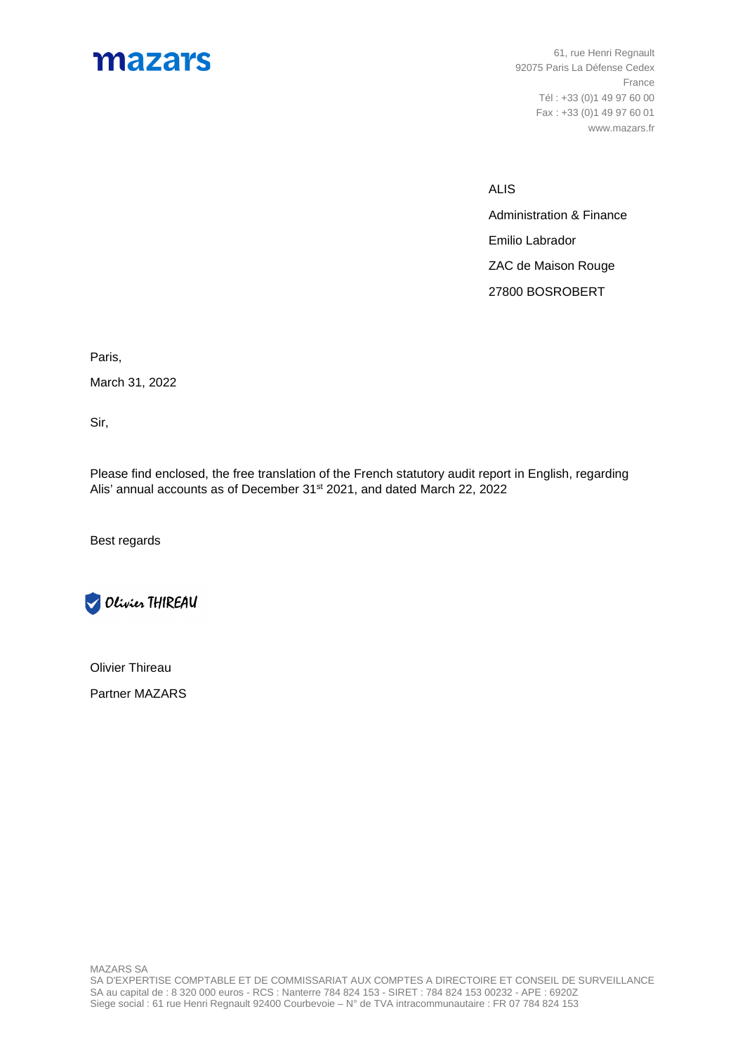# mazars

61, rue Henri Regnault 92075 Paris La Défense Cedex France Tél : +33 (0)1 49 97 60 00 Fax : +33 (0)1 49 97 60 01 www.mazars.fr

ALIS

Administration & Finance Emilio Labrador ZAC de Maison Rouge 27800 BOSROBERT

Paris,

March 31, 2022

Sir,

Please find enclosed, the free translation of the French statutory audit report in English, regarding Alis' annual accounts as of December 31<sup>st</sup> 2021, and dated March 22, 2022

Best regards



Olivier Thireau Partner MAZARS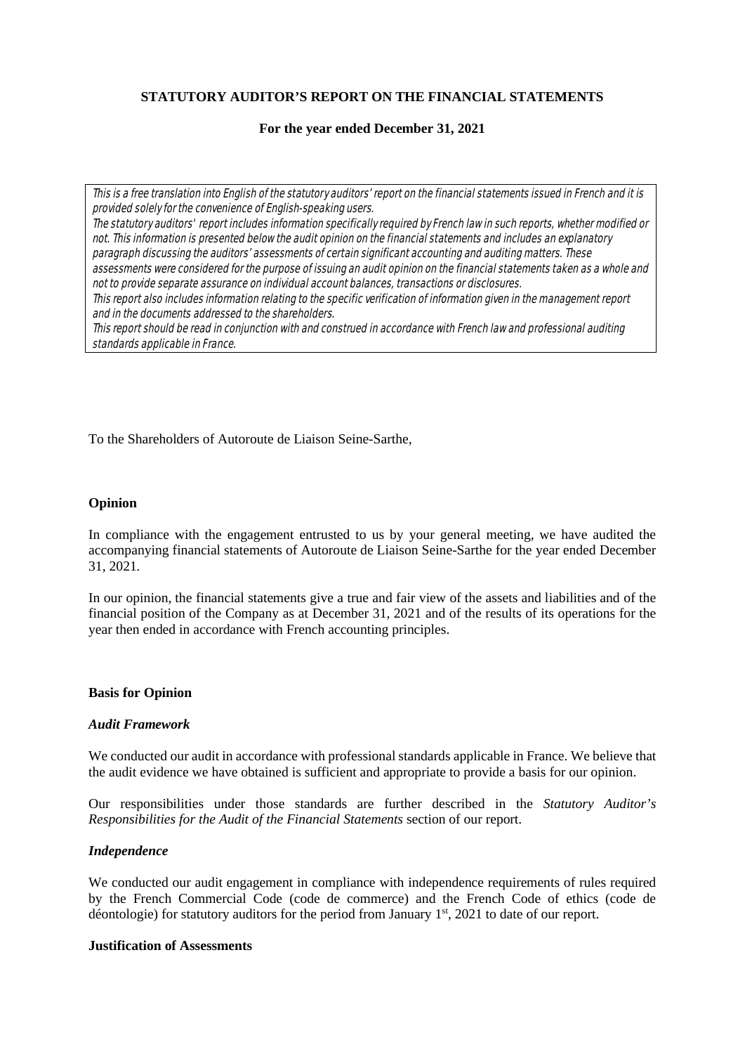# **STATUTORY AUDITOR'S REPORT ON THE FINANCIAL STATEMENTS**

## **For the year ended December 31, 2021**

This is a free translation into English of the statutory auditors' report on the financial statements issued in French and it is provided solely for the convenience of English-speaking users.

The statutory auditors' report includes information specifically required by French law in such reports, whether modified or not. This information is presented below the audit opinion on the financial statements and includes an explanatory paragraph discussing the auditors' assessments of certain significant accounting and auditing matters. These assessments were considered for the purpose of issuing an audit opinion on the financial statements taken as a whole and not to provide separate assurance on individual account balances, transactions or disclosures. This report also includes information relating to the specific verification of information given in the management report and in the documents addressed to the shareholders.

This report should be read in conjunction with and construed in accordance with French law and professional auditing standards applicable in France.

To the Shareholders of Autoroute de Liaison Seine-Sarthe,

## **Opinion**

In compliance with the engagement entrusted to us by your general meeting, we have audited the accompanying financial statements of Autoroute de Liaison Seine-Sarthe for the year ended December 31, 2021*.*

In our opinion, the financial statements give a true and fair view of the assets and liabilities and of the financial position of the Company as at December 31, 2021 and of the results of its operations for the year then ended in accordance with French accounting principles.

## **Basis for Opinion**

## *Audit Framework*

We conducted our audit in accordance with professional standards applicable in France. We believe that the audit evidence we have obtained is sufficient and appropriate to provide a basis for our opinion.

Our responsibilities under those standards are further described in the *Statutory Auditor's Responsibilities for the Audit of the Financial Statements* section of our report.

## *Independence*

We conducted our audit engagement in compliance with independence requirements of rules required by the French Commercial Code (code de commerce) and the French Code of ethics (code de déontologie) for statutory auditors for the period from January  $1<sup>st</sup>$ , 2021 to date of our report.

## **Justification of Assessments**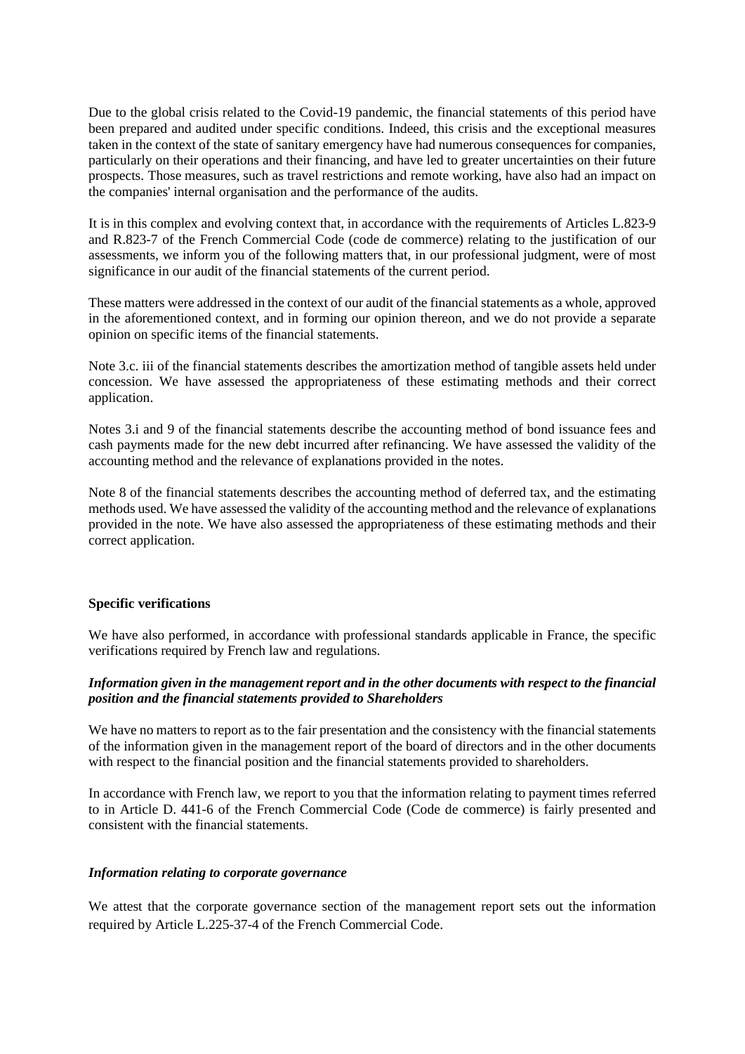Due to the global crisis related to the Covid-19 pandemic, the financial statements of this period have been prepared and audited under specific conditions. Indeed, this crisis and the exceptional measures taken in the context of the state of sanitary emergency have had numerous consequences for companies, particularly on their operations and their financing, and have led to greater uncertainties on their future prospects. Those measures, such as travel restrictions and remote working, have also had an impact on the companies' internal organisation and the performance of the audits.

It is in this complex and evolving context that, in accordance with the requirements of Articles L.823-9 and R.823-7 of the French Commercial Code (code de commerce) relating to the justification of our assessments, we inform you of the following matters that, in our professional judgment, were of most significance in our audit of the financial statements of the current period.

These matters were addressed in the context of our audit of the financial statements as a whole, approved in the aforementioned context, and in forming our opinion thereon, and we do not provide a separate opinion on specific items of the financial statements.

Note 3.c. iii of the financial statements describes the amortization method of tangible assets held under concession. We have assessed the appropriateness of these estimating methods and their correct application.

Notes 3.i and 9 of the financial statements describe the accounting method of bond issuance fees and cash payments made for the new debt incurred after refinancing. We have assessed the validity of the accounting method and the relevance of explanations provided in the notes.

Note 8 of the financial statements describes the accounting method of deferred tax, and the estimating methods used. We have assessed the validity of the accounting method and the relevance of explanations provided in the note. We have also assessed the appropriateness of these estimating methods and their correct application.

## **Specific verifications**

We have also performed, in accordance with professional standards applicable in France, the specific verifications required by French law and regulations.

# *Information given in the management report and in the other documents with respect to the financial position and the financial statements provided to Shareholders*

We have no matters to report as to the fair presentation and the consistency with the financial statements of the information given in the management report of the board of directors and in the other documents with respect to the financial position and the financial statements provided to shareholders.

In accordance with French law, we report to you that the information relating to payment times referred to in Article D. 441-6 of the French Commercial Code (Code de commerce) is fairly presented and consistent with the financial statements.

## *Information relating to corporate governance*

We attest that the corporate governance section of the management report sets out the information required by Article L.225-37-4 of the French Commercial Code.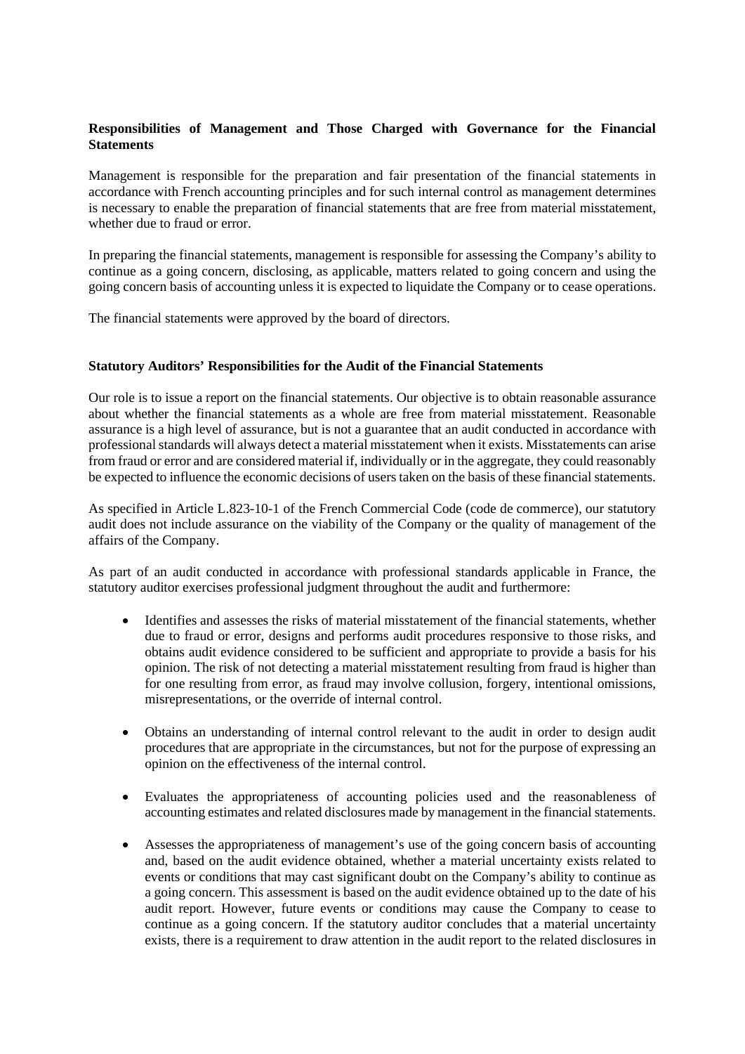# **Responsibilities of Management and Those Charged with Governance for the Financial Statements**

Management is responsible for the preparation and fair presentation of the financial statements in accordance with French accounting principles and for such internal control as management determines is necessary to enable the preparation of financial statements that are free from material misstatement, whether due to fraud or error.

In preparing the financial statements, management is responsible for assessing the Company's ability to continue as a going concern, disclosing, as applicable, matters related to going concern and using the going concern basis of accounting unless it is expected to liquidate the Company or to cease operations.

The financial statements were approved by the board of directors.

## **Statutory Auditors' Responsibilities for the Audit of the Financial Statements**

Our role is to issue a report on the financial statements. Our objective is to obtain reasonable assurance about whether the financial statements as a whole are free from material misstatement. Reasonable assurance is a high level of assurance, but is not a guarantee that an audit conducted in accordance with professional standards will always detect a material misstatement when it exists. Misstatements can arise from fraud or error and are considered material if, individually or in the aggregate, they could reasonably be expected to influence the economic decisions of users taken on the basis of these financial statements.

As specified in Article L.823-10-1 of the French Commercial Code (code de commerce), our statutory audit does not include assurance on the viability of the Company or the quality of management of the affairs of the Company.

As part of an audit conducted in accordance with professional standards applicable in France, the statutory auditor exercises professional judgment throughout the audit and furthermore:

- · Identifies and assesses the risks of material misstatement of the financial statements, whether due to fraud or error, designs and performs audit procedures responsive to those risks, and obtains audit evidence considered to be sufficient and appropriate to provide a basis for his opinion. The risk of not detecting a material misstatement resulting from fraud is higher than for one resulting from error, as fraud may involve collusion, forgery, intentional omissions, misrepresentations, or the override of internal control.
- · Obtains an understanding of internal control relevant to the audit in order to design audit procedures that are appropriate in the circumstances, but not for the purpose of expressing an opinion on the effectiveness of the internal control.
- · Evaluates the appropriateness of accounting policies used and the reasonableness of accounting estimates and related disclosures made by management in the financial statements.
- · Assesses the appropriateness of management's use of the going concern basis of accounting and, based on the audit evidence obtained, whether a material uncertainty exists related to events or conditions that may cast significant doubt on the Company's ability to continue as a going concern. This assessment is based on the audit evidence obtained up to the date of his audit report. However, future events or conditions may cause the Company to cease to continue as a going concern. If the statutory auditor concludes that a material uncertainty exists, there is a requirement to draw attention in the audit report to the related disclosures in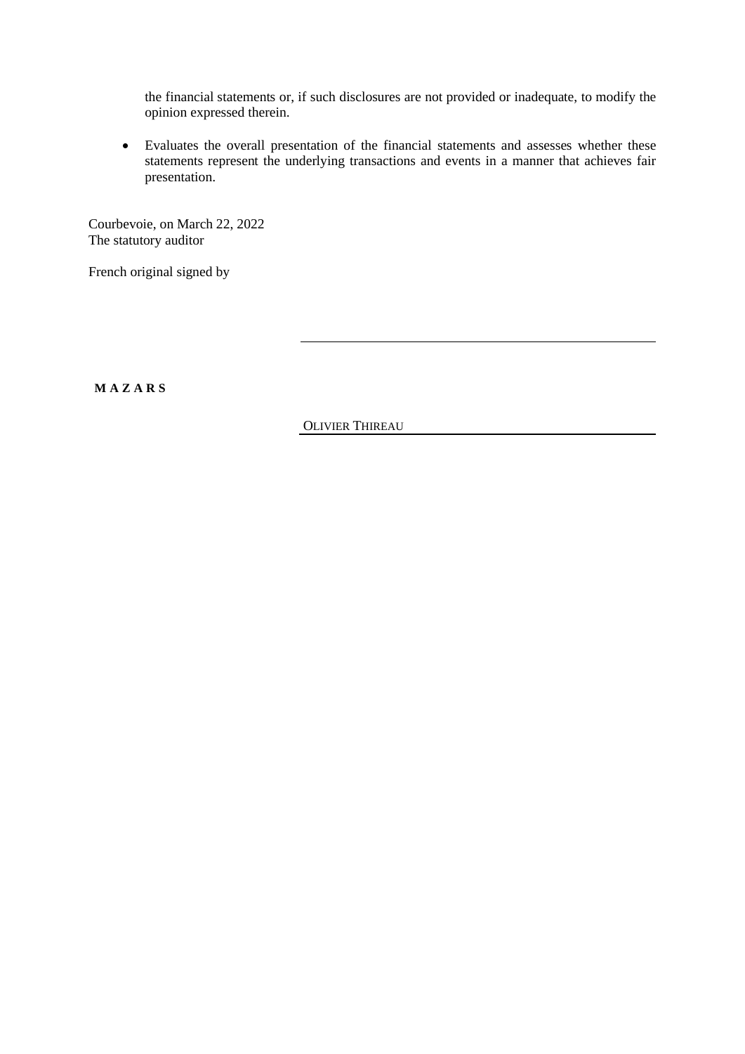the financial statements or, if such disclosures are not provided or inadequate, to modify the opinion expressed therein.

· Evaluates the overall presentation of the financial statements and assesses whether these statements represent the underlying transactions and events in a manner that achieves fair presentation.

Courbevoie, on March 22, 2022 The statutory auditor

French original signed by

**M A Z A R S**

OLIVIER THIREAU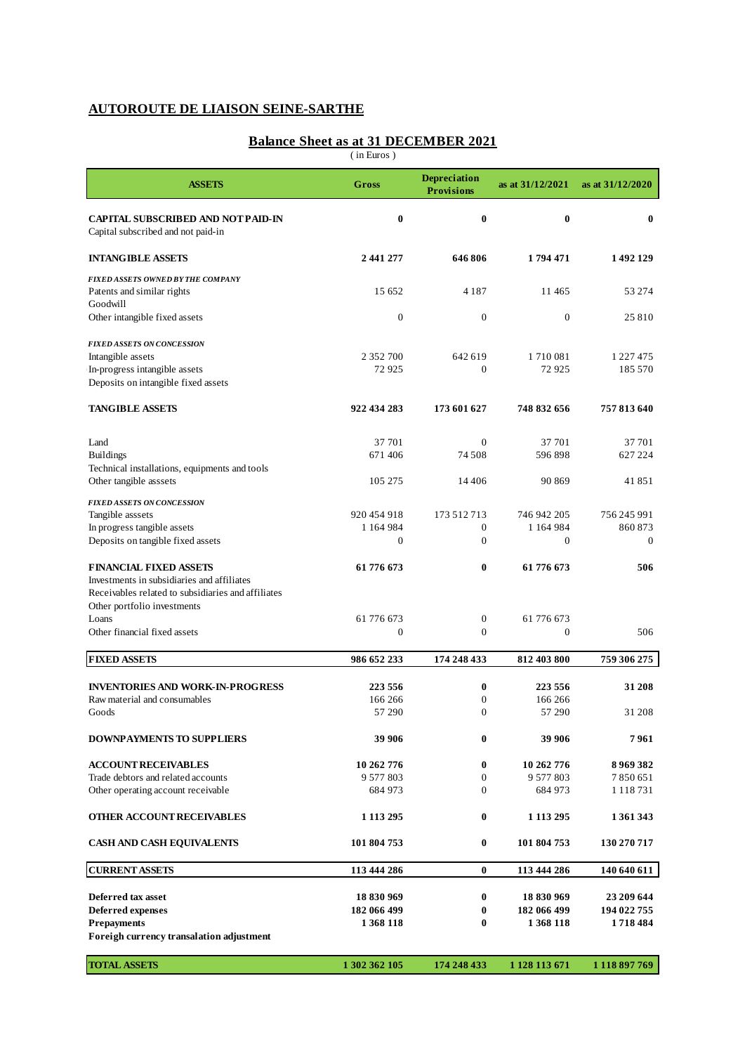# **AUTOROUTE DE LIAISON SEINE-SARTHE**

# **Balance Sheet as at 31 DECEMBER 2021**

( in Euros )

| <b>ASSETS</b>                                                                                                                                                             | Gross                  | <b>Depreciation</b><br><b>Provisions</b> | as at 31/12/2021         | as at 31/12/2020     |
|---------------------------------------------------------------------------------------------------------------------------------------------------------------------------|------------------------|------------------------------------------|--------------------------|----------------------|
| <b>CAPITAL SUBSCRIBED AND NOT PAID-IN</b><br>Capital subscribed and not paid-in                                                                                           | $\bf{0}$               | 0                                        | $\bf{0}$                 | $\mathbf{0}$         |
| <b>INTANG IBLE ASSETS</b>                                                                                                                                                 | 2 441 277              | 646806                                   | 1794471                  | 1492129              |
| <b>FIXED ASSETS OWNED BY THE COMPANY</b><br>Patents and similar rights                                                                                                    | 15 652                 | 4 1 8 7                                  | 11465                    | 53 274               |
| Goodwill<br>Other intangible fixed assets                                                                                                                                 | $\boldsymbol{0}$       | $\mathbf{0}$                             | $\mathbf{0}$             | 25810                |
| <b>FIXED ASSETS ON CONCESSION</b>                                                                                                                                         |                        |                                          |                          |                      |
| Intangible assets<br>In-progress intangible assets<br>Deposits on intangible fixed assets                                                                                 | 2 352 700<br>72925     | 642 619<br>$\Omega$                      | 1710081<br>72925         | 1 227 475<br>185 570 |
| <b>TANGIBLE ASSETS</b>                                                                                                                                                    | 922 434 283            | 173 601 627                              | 748 832 656              | 757 813 640          |
| Land                                                                                                                                                                      | 37 701                 | $\Omega$                                 | 37 701                   | 37 701               |
| <b>Buildings</b><br>Technical installations, equipments and tools                                                                                                         | 671406                 | 74 508                                   | 596898                   | 627 224              |
| Other tangible asssets                                                                                                                                                    | 105 275                | 14 4 0 6                                 | 90 869                   | 41851                |
| <b>FIXED ASSETS ON CONCESSION</b><br>Tangible asssets                                                                                                                     | 920 454 918            | 173 512 713                              | 746 942 205              | 756 245 991          |
| In progress tangible assets                                                                                                                                               | 1 164 984              | $\overline{0}$                           | 1 164 984                | 860 873              |
| Deposits on tangible fixed assets                                                                                                                                         | $\mathbf{0}$           | 0                                        | $\theta$                 | $\theta$             |
| <b>FINANCIAL FIXED ASSETS</b><br>Investments in subsidiaries and affiliates<br>Receivables related to subsidiaries and affiliates<br>Other portfolio investments<br>Loans | 61776673<br>61 776 673 | 0<br>$\boldsymbol{0}$                    | 61 776 673<br>61 776 673 | 506                  |
| Other financial fixed assets                                                                                                                                              | 0                      | 0                                        | $\overline{0}$           | 506                  |
| <b>FIXED ASSETS</b>                                                                                                                                                       | 986 652 233            | 174 248 433                              | 812 403 800              | 759 306 275          |
| <b>INVENTORIES AND WORK-IN-PROGRESS</b>                                                                                                                                   | 223 556                | 0                                        | 223 556                  | 31 208               |
| Raw material and consumables                                                                                                                                              | 166 266                | 0                                        | 166 266                  |                      |
| Goods                                                                                                                                                                     | 57 290                 | 0                                        | 57 290                   | 31 208               |
| <b>DOWNPAYMENTS TO SUPPLIERS</b>                                                                                                                                          | 39 906                 | 0                                        | 39 906                   | 7961                 |
| <b>ACCOUNT RECEIVABLES</b>                                                                                                                                                | 10 262 776             | 0                                        | 10 262 776               | 8969382              |
| Trade debtors and related accounts                                                                                                                                        | 9 577 803              | 0                                        | 9 577 803                | 7850651              |
| Other operating account receivable                                                                                                                                        | 684 973                | 0                                        | 684 973                  | 1 1 1 8 7 3 1        |
| OTHER ACCOUNT RECEIVABLES                                                                                                                                                 | 1 1 1 3 2 9 5          | 0                                        | 1 1 1 3 2 9 5            | 1 361 343            |
| <b>CASH AND CASH EQUIVALENTS</b>                                                                                                                                          | 101 804 753            | 0                                        | 101 804 753              | 130 270 717          |
| <b>CURRENT ASSETS</b>                                                                                                                                                     | 113 444 286            | $\bf{0}$                                 | 113 444 286              | 140 640 611          |
| <b>Deferred tax asset</b>                                                                                                                                                 | 18 830 969             | 0                                        | 18 830 969               | 23 209 644           |
| <b>Deferred expenses</b>                                                                                                                                                  | 182 066 499            | 0                                        | 182 066 499              | 194 022 755          |
| <b>Prepayments</b><br>Foreigh currency transalation adjustment                                                                                                            | 1 368 118              | 0                                        | 1 368 118                | 1718484              |
|                                                                                                                                                                           |                        |                                          |                          |                      |
| <b>TOTAL ASSETS</b>                                                                                                                                                       | 1 302 362 105          | 174 248 433                              | 1 128 113 671            | 1 1 18 897 769       |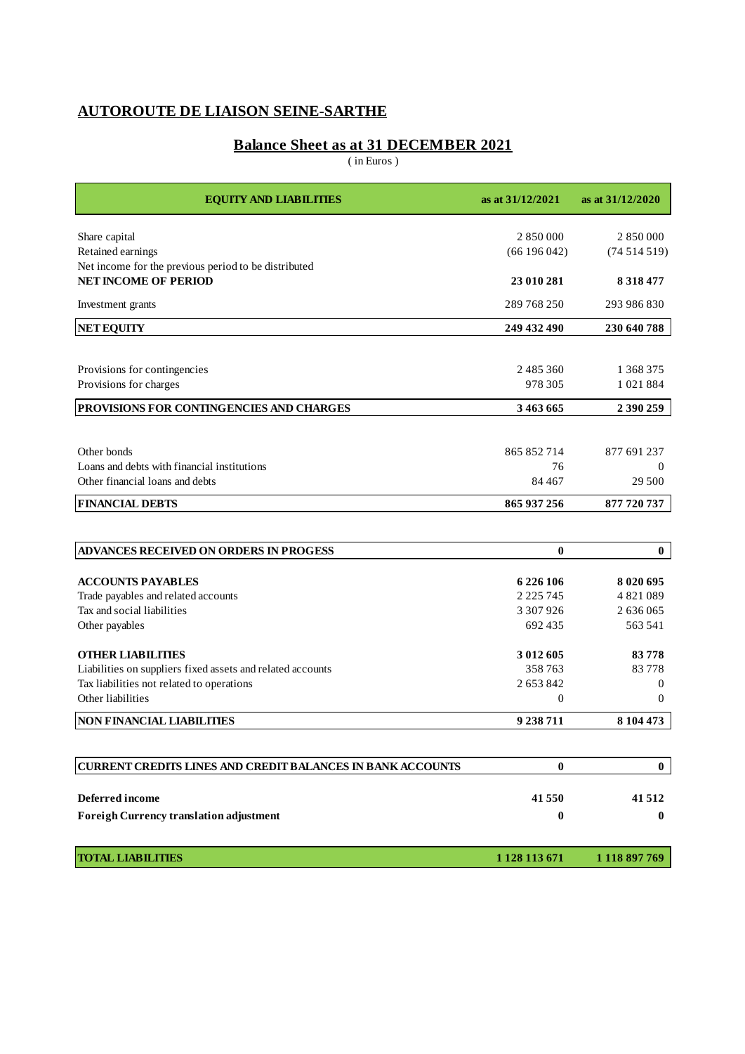# **AUTOROUTE DE LIAISON SEINE-SARTHE**

# **Balance Sheet as at 31 DECEMBER 2021**

( in Euros )

| <b>EQUITY AND LIABILITIES</b>                                     | as at 31/12/2021 | as at 31/12/2020 |
|-------------------------------------------------------------------|------------------|------------------|
| Share capital                                                     | 2 850 000        | 2 850 000        |
| Retained earnings                                                 | (66196042)       | (74514519)       |
| Net income for the previous period to be distributed              |                  |                  |
| <b>NET INCOME OF PERIOD</b>                                       | 23 010 281       | 8 3 1 8 4 7 7    |
| Investment grants                                                 | 289 768 250      | 293 986 830      |
| NET EQUITY                                                        | 249 432 490      | 230 640 788      |
|                                                                   |                  |                  |
| Provisions for contingencies                                      | 2 485 360        | 1 368 375        |
| Provisions for charges                                            | 978 305          | 1021884          |
| PROVISIONS FOR CONTINGENCIES AND CHARGES                          | 3 463 665        | 2 390 259        |
|                                                                   |                  |                  |
| Other bonds                                                       | 865 852 714      | 877 691 237      |
| Loans and debts with financial institutions                       | 76               | $\Omega$         |
| Other financial loans and debts                                   | 84 4 67          | 29 500           |
| <b>FINANCIAL DEBTS</b>                                            | 865 937 256      | 877 720 737      |
|                                                                   |                  |                  |
| ADVANCES RECEIVED ON ORDERS IN PROGESS                            | 0                | $\bf{0}$         |
| <b>ACCOUNTS PAYABLES</b>                                          | 6 2 2 6 1 0 6    | 8 0 20 6 95      |
| Trade payables and related accounts                               | 2 2 2 5 7 4 5    | 4821089          |
| Tax and social liabilities                                        | 3 307 926        | 2 636 065        |
| Other payables                                                    | 692 435          | 563 541          |
| <b>OTHER LIABILITIES</b>                                          | 3 012 605        | 83778            |
| Liabilities on suppliers fixed assets and related accounts        | 358763           | 83778            |
| Tax liabilities not related to operations                         | 2 653 842        | 0                |
| Other liabilities                                                 | $\overline{0}$   | $\overline{0}$   |
| <b>NON FINANCIAL LIABILITIES</b>                                  | 9 238 711        | 8 104 473        |
|                                                                   |                  |                  |
| <b>CURRENT CREDITS LINES AND CREDIT BALANCES IN BANK ACCOUNTS</b> | 0                | $\mathbf{0}$     |
| Deferred income                                                   | 41550            | 41512            |
| <b>Foreigh Currency translation adjustment</b>                    | 0                | 0                |
|                                                                   |                  |                  |
| <b>TOTAL LIABILITIES</b>                                          | 1 1 28 1 13 6 71 | 1 118 897 769    |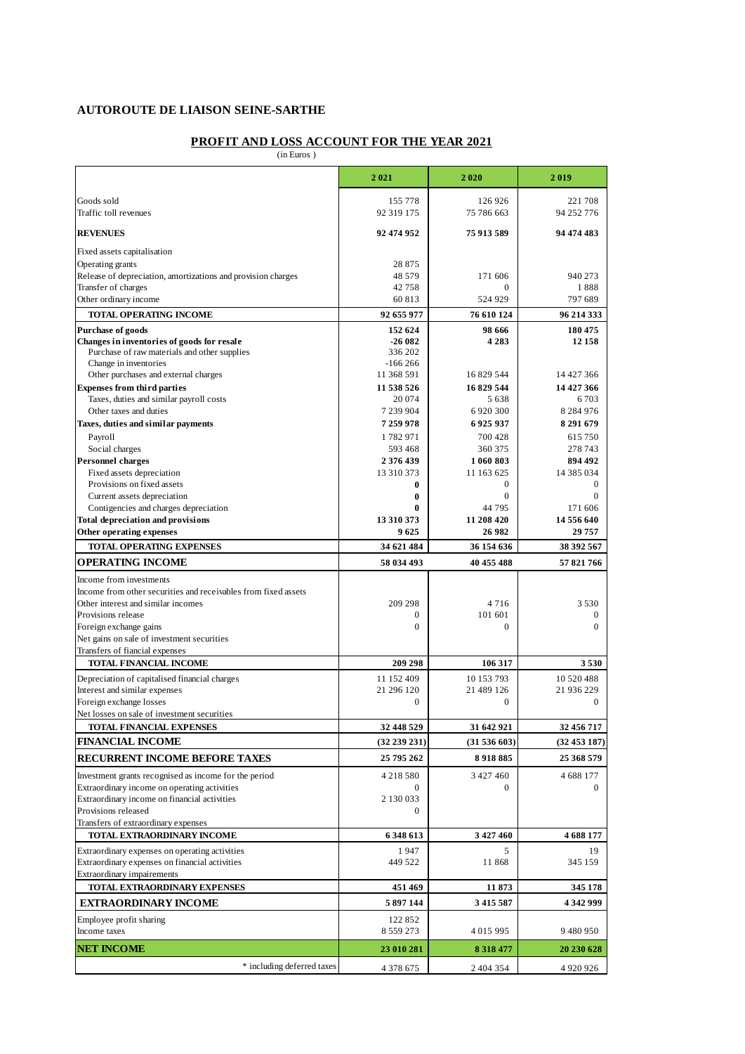# **AUTOROUTE DE LIAISON SEINE-SARTHE**

# **PROFIT AND LOSS ACCOUNT FOR THE YEAR 2021**

(in Euros )

|                                                                        | 2021                     | 2020              | 2019              |
|------------------------------------------------------------------------|--------------------------|-------------------|-------------------|
| Goods sold                                                             | 155 778                  | 126 926           | 221 708           |
| Traffic toll revenues                                                  | 92 319 175               | 75 786 663        | 94 252 776        |
| <b>REVENUES</b>                                                        | 92 474 952               | 75 913 589        | 94 474 483        |
| Fixed assets capitalisation                                            |                          |                   |                   |
| Operating grants                                                       | 28 875                   |                   |                   |
| Release of depreciation, amortizations and provision charges           | 48 5 7 9                 | 171 606           | 940 273           |
| Transfer of charges                                                    | 42758                    | 0                 | 1888              |
| Other ordinary income                                                  | 60 813                   | 524 929           | 797 689           |
| TOTAL OPERATING INCOME                                                 | 92 655 977               | 76 610 124        | 96 214 333        |
| <b>Purchase of goods</b><br>Changes in inventories of goods for resale | 152 624<br>$-26082$      | 98 666<br>4 2 8 3 | 180 475<br>12 158 |
| Purchase of raw materials and other supplies                           | 336 202                  |                   |                   |
| Change in inventories                                                  | $-166266$                |                   |                   |
| Other purchases and external charges                                   | 11 368 591               | 16 829 544        | 14 427 366        |
| <b>Expenses from third parties</b>                                     | 11 538 526               | 16829544          | 14 427 366        |
| Taxes, duties and similar payroll costs                                | 20 074                   | 5 6 3 8           | 6703              |
| Other taxes and duties                                                 | 7 239 904                | 6 9 20 300        | 8 2 8 4 9 7 6     |
| Taxes, duties and similar payments                                     | 7 259 978                | 6925937           | 8 291 679         |
| Payroll                                                                | 1782971                  | 700 428           | 615750            |
| Social charges                                                         | 593 468                  | 360 375           | 278 743           |
| <b>Personnel charges</b>                                               | 2376439                  | 1 060 803         | 894 492           |
| Fixed assets depreciation                                              | 13 310 373               | 11 163 625        | 14 385 034        |
| Provisions on fixed assets                                             | 0                        | 0                 | $\mathbf{0}$      |
| Current assets depreciation                                            | $\bf{0}$                 | 0                 | $\Omega$          |
| Contigencies and charges depreciation                                  | $\bf{0}$                 | 44 795            | 171 606           |
| <b>Total depreciation and provisions</b>                               | 13 310 373               | 11 208 420        | 14 556 640        |
| Other operating expenses                                               | 9625                     | 26 982            | 29757             |
| <b>TOTAL OPERATING EXPENSES</b>                                        | 34 621 484               | 36 154 636        | 38 392 567        |
| <b>OPERATING INCOME</b>                                                | 58 034 493               | 40 455 488        | 57 821 766        |
| Income from investments                                                |                          |                   |                   |
| Income from other securities and receivables from fixed assets         |                          |                   |                   |
| Other interest and similar incomes                                     | 209 298                  | 4716              | 3530              |
| Provisions release                                                     | $\boldsymbol{0}$         | 101 601           | $\bf{0}$          |
| Foreign exchange gains                                                 | $\mathbf{0}$             | 0                 | $\mathbf{0}$      |
| Net gains on sale of investment securities                             |                          |                   |                   |
| Transfers of fiancial expenses                                         |                          |                   |                   |
| TOTAL FINANCIAL INCOME                                                 | 209 298                  | 106 317           | 3530              |
| Depreciation of capitalised financial charges                          | 11 152 409               | 10 153 793        | 10 520 488        |
| Interest and similar expenses                                          | 21 296 120               | 21 489 126        | 21 936 229        |
| Foreign exchange losses                                                | $\mathbf{0}$             | 0                 | $\mathbf{0}$      |
| Net losses on sale of investment securities                            |                          |                   |                   |
| TOTAL FINANCIAL EXPENSES                                               | 32 448 529               | 31 642 921        | 32 456 717        |
| <b>FINANCIAL INCOME</b>                                                | (32 239 231)             | (31536603)        | (32453187)        |
| RECURRENT INCOME BEFORE TAXES                                          | 25 795 262               | 8918885           | 25 368 579        |
| Investment grants recognised as income for the period                  | 4218580                  | 3 427 460         | 4 688 177         |
| Extraordinary income on operating activities                           | $\mathbf{0}$             | 0                 | $\mathbf{0}$      |
| Extraordinary income on financial activities                           | 2 130 033                |                   |                   |
| Provisions released                                                    | $\boldsymbol{0}$         |                   |                   |
| Transfers of extraordinary expenses                                    |                          |                   |                   |
| TOTAL EXTRAORDINARY INCOME                                             | 6 348 613                | 3 427 460         | 4 688 177         |
| Extraordinary expenses on operating activities                         | 1947                     | 5                 | 19                |
| Extraordinary expenses on financial activities                         | 449 522                  | 11 868            | 345 159           |
| Extraordinary impairements                                             |                          |                   |                   |
| TOTAL EXTRAORDINARY EXPENSES                                           | 451 469                  | 11873             | 345 178           |
| EXTRAORDINARY INCOME                                                   | 5897144                  | 3 4 1 5 5 8 7     | 4 342 999         |
| Employee profit sharing<br>Income taxes                                | 122 852<br>8 5 5 9 2 7 3 | 4 015 995         | 9480950           |
|                                                                        |                          |                   |                   |
| <b>NET INCOME</b>                                                      | 23 010 281               | 8 3 1 8 4 7 7     | 20 230 628        |
| * including deferred taxes                                             | 4 3 7 8 6 7 5            | 2 404 354         | 4 9 20 9 26       |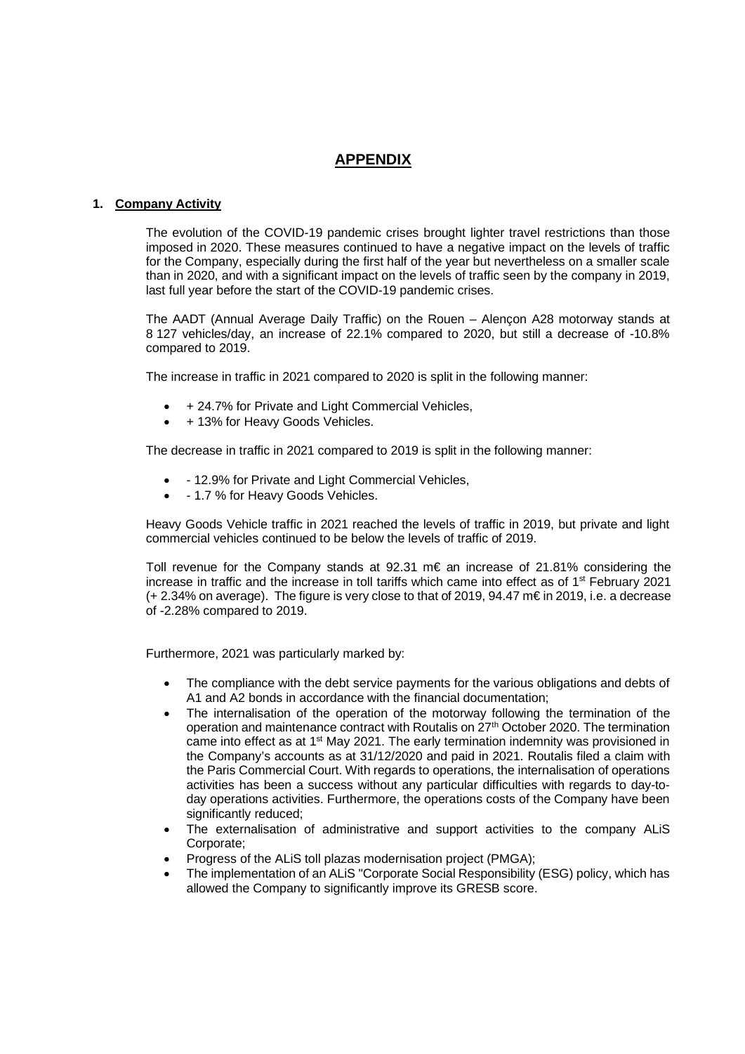# **APPENDIX**

## **1. Company Activity**

The evolution of the COVID-19 pandemic crises brought lighter travel restrictions than those imposed in 2020. These measures continued to have a negative impact on the levels of traffic for the Company, especially during the first half of the year but nevertheless on a smaller scale than in 2020, and with a significant impact on the levels of traffic seen by the company in 2019, last full year before the start of the COVID-19 pandemic crises.

The AADT (Annual Average Daily Traffic) on the Rouen – Alençon A28 motorway stands at 8 127 vehicles/day, an increase of 22.1% compared to 2020, but still a decrease of -10.8% compared to 2019.

The increase in traffic in 2021 compared to 2020 is split in the following manner:

- + 24.7% for Private and Light Commercial Vehicles,
- + 13% for Heavy Goods Vehicles.

The decrease in traffic in 2021 compared to 2019 is split in the following manner:

- - 12.9% for Private and Light Commercial Vehicles,
- 1.7 % for Heavy Goods Vehicles.

Heavy Goods Vehicle traffic in 2021 reached the levels of traffic in 2019, but private and light commercial vehicles continued to be below the levels of traffic of 2019.

Toll revenue for the Company stands at  $92.31 \text{ m} \in \mathbb{R}$  an increase of 21.81% considering the increase in traffic and the increase in toll tariffs which came into effect as of 1st February 2021 (+ 2.34% on average). The figure is very close to that of 2019, 94.47 m€ in 2019, i.e. a decrease of -2.28% compared to 2019.

Furthermore, 2021 was particularly marked by:

- The compliance with the debt service payments for the various obligations and debts of A1 and A2 bonds in accordance with the financial documentation;
- The internalisation of the operation of the motorway following the termination of the operation and maintenance contract with Routalis on  $27<sup>th</sup>$  October 2020. The termination came into effect as at 1<sup>st</sup> May 2021. The early termination indemnity was provisioned in the Company's accounts as at 31/12/2020 and paid in 2021. Routalis filed a claim with the Paris Commercial Court. With regards to operations, the internalisation of operations activities has been a success without any particular difficulties with regards to day-today operations activities. Furthermore, the operations costs of the Company have been significantly reduced;
- The externalisation of administrative and support activities to the company ALiS Corporate;
- Progress of the ALiS toll plazas modernisation project (PMGA);
- The implementation of an ALiS "Corporate Social Responsibility (ESG) policy, which has allowed the Company to significantly improve its GRESB score.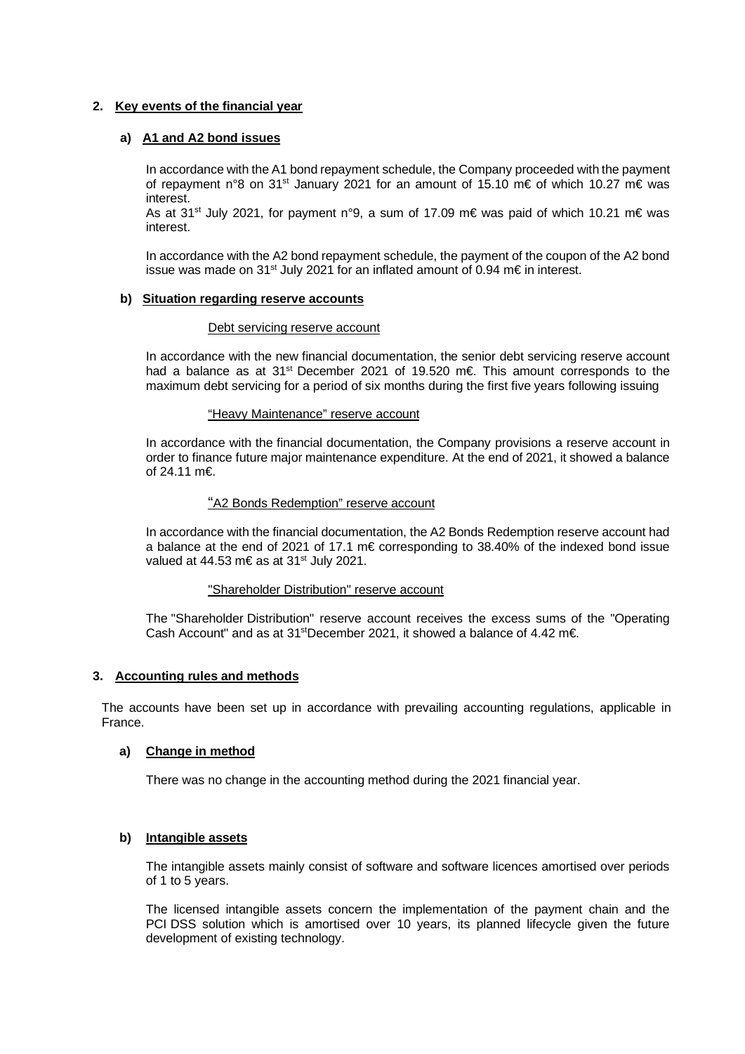## **2. Key events of the financial year**

## **a) A1 and A2 bond issues**

In accordance with the A1 bond repayment schedule, the Company proceeded with the payment of repayment n°8 on 31st January 2021 for an amount of 15.10 m€ of which 10.27 m€ was interest.

As at 31<sup>st</sup> July 2021, for payment n°9, a sum of 17.09 m€ was paid of which 10.21 m€ was interest.

In accordance with the A2 bond repayment schedule, the payment of the coupon of the A2 bond issue was made on 31<sup>st</sup> July 2021 for an inflated amount of 0.94 m€ in interest.

## **b) Situation regarding reserve accounts**

## Debt servicing reserve account

In accordance with the new financial documentation, the senior debt servicing reserve account had a balance as at 31st December 2021 of 19.520 m€. This amount corresponds to the maximum debt servicing for a period of six months during the first five years following issuing

## "Heavy Maintenance" reserve account

In accordance with the financial documentation, the Company provisions a reserve account in order to finance future major maintenance expenditure. At the end of 2021, it showed a balance of 24.11 m€.

## "A2 Bonds Redemption" reserve account

In accordance with the financial documentation, the A2 Bonds Redemption reserve account had a balance at the end of 2021 of 17.1 m€ corresponding to 38.40% of the indexed bond issue valued at 44.53 m€ as at 31<sup>st</sup> July 2021.

## "Shareholder Distribution" reserve account

The "Shareholder Distribution" reserve account receives the excess sums of the "Operating Cash Account" and as at 31<sup>st</sup>December 2021, it showed a balance of 4.42 m€.

## **3. Accounting rules and methods**

The accounts have been set up in accordance with prevailing accounting regulations, applicable in France.

## **a) Change in method**

There was no change in the accounting method during the 2021 financial year.

## **b) Intangible assets**

The intangible assets mainly consist of software and software licences amortised over periods of 1 to 5 years.

The licensed intangible assets concern the implementation of the payment chain and the PCI DSS solution which is amortised over 10 years, its planned lifecycle given the future development of existing technology.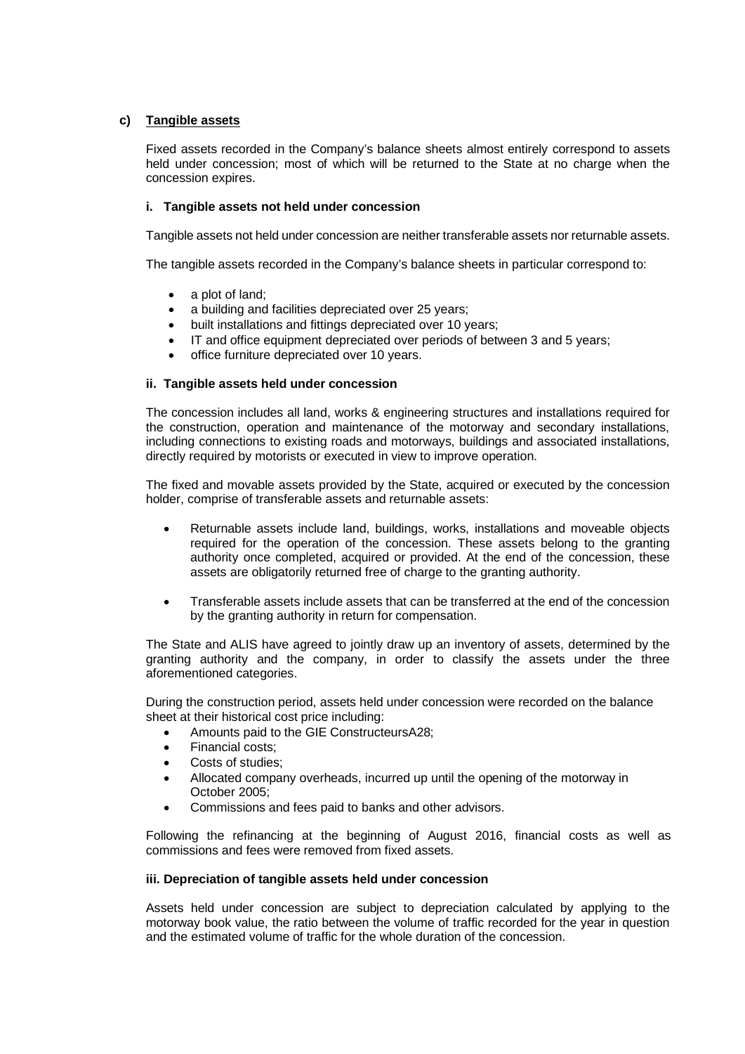# **c) Tangible assets**

Fixed assets recorded in the Company's balance sheets almost entirely correspond to assets held under concession; most of which will be returned to the State at no charge when the concession expires.

## **i. Tangible assets not held under concession**

Tangible assets not held under concession are neither transferable assets nor returnable assets.

The tangible assets recorded in the Company's balance sheets in particular correspond to:

- a plot of land;
- a building and facilities depreciated over 25 years;
- built installations and fittings depreciated over 10 years;
- IT and office equipment depreciated over periods of between 3 and 5 years;
- office furniture depreciated over 10 years.

## **ii. Tangible assets held under concession**

The concession includes all land, works & engineering structures and installations required for the construction, operation and maintenance of the motorway and secondary installations, including connections to existing roads and motorways, buildings and associated installations, directly required by motorists or executed in view to improve operation.

The fixed and movable assets provided by the State, acquired or executed by the concession holder, comprise of transferable assets and returnable assets:

- Returnable assets include land, buildings, works, installations and moveable objects required for the operation of the concession. These assets belong to the granting authority once completed, acquired or provided. At the end of the concession, these assets are obligatorily returned free of charge to the granting authority.
- Transferable assets include assets that can be transferred at the end of the concession by the granting authority in return for compensation.

The State and ALIS have agreed to jointly draw up an inventory of assets, determined by the granting authority and the company, in order to classify the assets under the three aforementioned categories.

During the construction period, assets held under concession were recorded on the balance sheet at their historical cost price including:

- Amounts paid to the GIE ConstructeursA28;
- Financial costs;
- Costs of studies;
- Allocated company overheads, incurred up until the opening of the motorway in October 2005;
- Commissions and fees paid to banks and other advisors.

Following the refinancing at the beginning of August 2016, financial costs as well as commissions and fees were removed from fixed assets.

## **iii. Depreciation of tangible assets held under concession**

Assets held under concession are subject to depreciation calculated by applying to the motorway book value, the ratio between the volume of traffic recorded for the year in question and the estimated volume of traffic for the whole duration of the concession.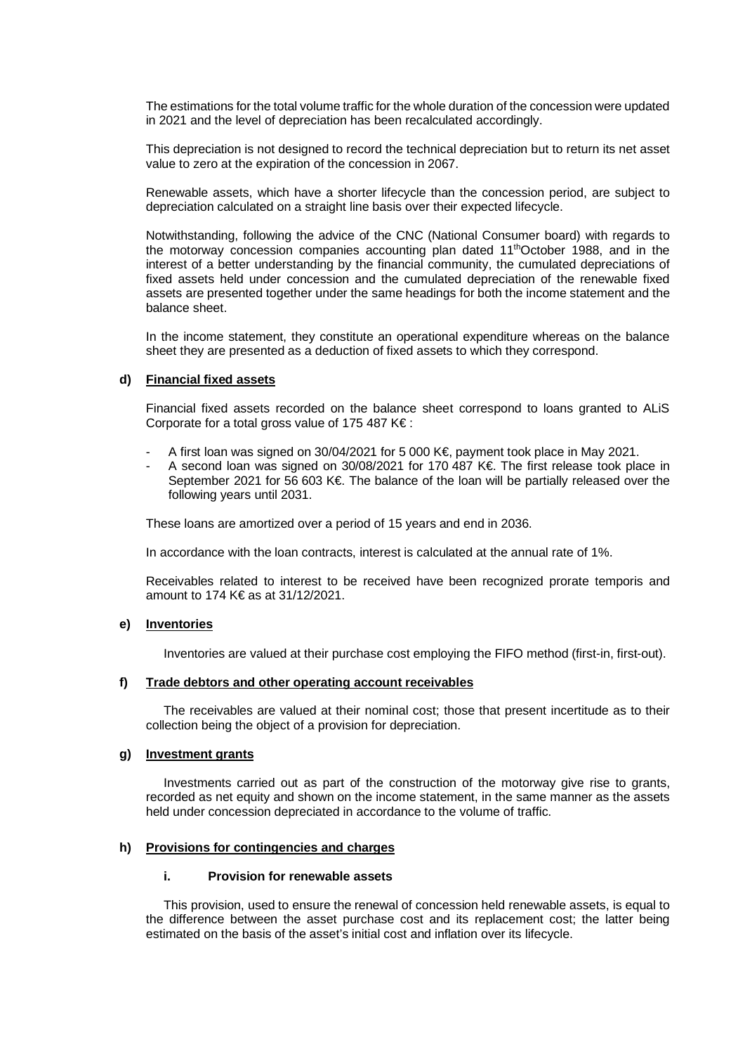The estimations for the total volume traffic for the whole duration of the concession were updated in 2021 and the level of depreciation has been recalculated accordingly.

This depreciation is not designed to record the technical depreciation but to return its net asset value to zero at the expiration of the concession in 2067.

Renewable assets, which have a shorter lifecycle than the concession period, are subject to depreciation calculated on a straight line basis over their expected lifecycle.

Notwithstanding, following the advice of the CNC (National Consumer board) with regards to the motorway concession companies accounting plan dated 11thOctober 1988, and in the interest of a better understanding by the financial community, the cumulated depreciations of fixed assets held under concession and the cumulated depreciation of the renewable fixed assets are presented together under the same headings for both the income statement and the balance sheet.

In the income statement, they constitute an operational expenditure whereas on the balance sheet they are presented as a deduction of fixed assets to which they correspond.

#### **d) Financial fixed assets**

Financial fixed assets recorded on the balance sheet correspond to loans granted to ALiS Corporate for a total gross value of 175 487 K€ :

- A first loan was signed on 30/04/2021 for 5 000 K€, payment took place in May 2021.
- A second loan was signed on 30/08/2021 for 170 487 K€. The first release took place in September 2021 for 56 603 K€. The balance of the loan will be partially released over the following years until 2031.

These loans are amortized over a period of 15 years and end in 2036.

In accordance with the loan contracts, interest is calculated at the annual rate of 1%.

Receivables related to interest to be received have been recognized prorate temporis and amount to 174 K€ as at 31/12/2021.

## **e) Inventories**

Inventories are valued at their purchase cost employing the FIFO method (first-in, first-out).

## **f) Trade debtors and other operating account receivables**

 The receivables are valued at their nominal cost; those that present incertitude as to their collection being the object of a provision for depreciation.

#### **g) Investment grants**

 Investments carried out as part of the construction of the motorway give rise to grants, recorded as net equity and shown on the income statement, in the same manner as the assets held under concession depreciated in accordance to the volume of traffic.

#### **h) Provisions for contingencies and charges**

#### **i. Provision for renewable assets**

 This provision, used to ensure the renewal of concession held renewable assets, is equal to the difference between the asset purchase cost and its replacement cost; the latter being estimated on the basis of the asset's initial cost and inflation over its lifecycle.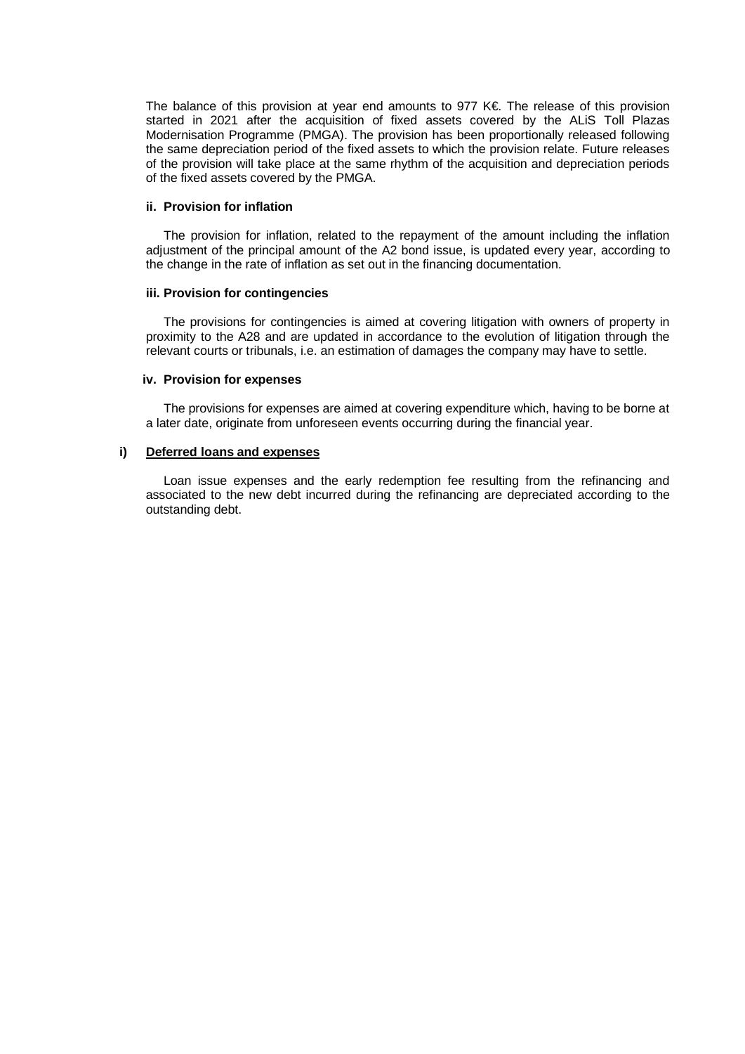The balance of this provision at year end amounts to 977 K€. The release of this provision started in 2021 after the acquisition of fixed assets covered by the ALiS Toll Plazas Modernisation Programme (PMGA). The provision has been proportionally released following the same depreciation period of the fixed assets to which the provision relate. Future releases of the provision will take place at the same rhythm of the acquisition and depreciation periods of the fixed assets covered by the PMGA.

#### **ii. Provision for inflation**

 The provision for inflation, related to the repayment of the amount including the inflation adjustment of the principal amount of the A2 bond issue, is updated every year, according to the change in the rate of inflation as set out in the financing documentation.

#### **iii. Provision for contingencies**

 The provisions for contingencies is aimed at covering litigation with owners of property in proximity to the A28 and are updated in accordance to the evolution of litigation through the relevant courts or tribunals, i.e. an estimation of damages the company may have to settle.

#### **iv. Provision for expenses**

 The provisions for expenses are aimed at covering expenditure which, having to be borne at a later date, originate from unforeseen events occurring during the financial year.

#### **i) Deferred loans and expenses**

Loan issue expenses and the early redemption fee resulting from the refinancing and associated to the new debt incurred during the refinancing are depreciated according to the outstanding debt.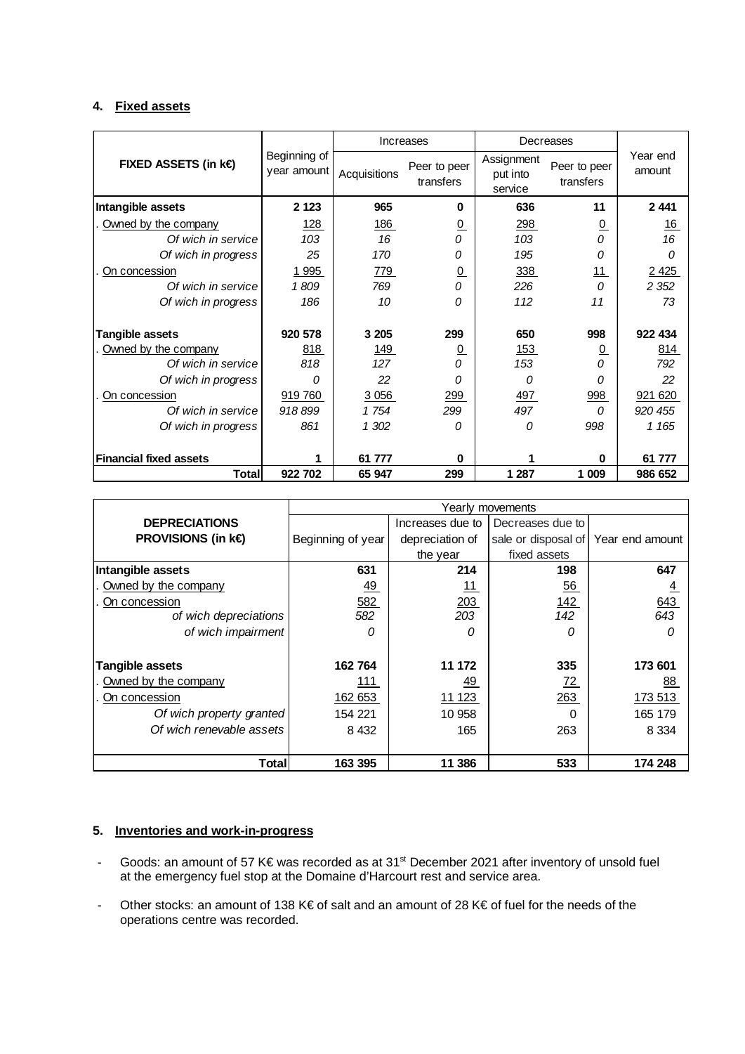# **4. Fixed assets**

|                               |                             | Increases    |                           |                                   | Decreases                 |                    |
|-------------------------------|-----------------------------|--------------|---------------------------|-----------------------------------|---------------------------|--------------------|
| <b>FIXED ASSETS (in k€</b>    | Beginning of<br>year amount | Acquisitions | Peer to peer<br>transfers | Assignment<br>put into<br>service | Peer to peer<br>transfers | Year end<br>amount |
| Intangible assets             | 2 1 2 3                     | 965          | $\bf{0}$                  | 636                               | 11                        | 2 4 4 1            |
| Owned by the company          | <u>128</u>                  | <u>186</u>   | $\overline{0}$            | 298                               | $\overline{0}$            | <u>16</u>          |
| Of wich in service            | 103                         | 16           | 0                         | 103                               | 0                         | 16                 |
| Of wich in progress           | 25                          | 170          | 0                         | 195                               | 0                         | 0                  |
| On concession                 | 1 9 9 5                     | 779          | $\overline{0}$            | 338                               | 11                        | 2 4 2 5            |
| Of wich in service            | 1809                        | 769          | 0                         | 226                               | $\Omega$                  | 2 3 5 2            |
| Of wich in progress           | 186                         | 10           | 0                         | 112                               | 11                        | 73                 |
| <b>Tangible assets</b>        | 920 578                     | 3 2 0 5      | 299                       | 650                               | 998                       | 922 434            |
| Owned by the company          | 818                         | <u>149</u>   | <u>0</u>                  | <u>153</u>                        | $\overline{0}$            | <u>814</u>         |
| Of wich in service            | 818                         | 127          | 0                         | 153                               | 0                         | 792                |
| Of wich in progress           | O                           | 22           | 0                         | 0                                 | 0                         | 22                 |
| On concession                 | 919 760                     | 3 0 5 6      | 299                       | 497                               | 998                       | 921 620            |
| Of wich in service            | 918899                      | 1754         | 299                       | 497                               | 0                         | 920 455            |
| Of wich in progress           | 861                         | 1 302        | 0                         | 0                                 | 998                       | 1 1 65             |
| <b>Financial fixed assets</b> |                             | 61 777       | $\bf{0}$                  |                                   | U                         | 61 777             |
| Total                         | 922 702                     | 65 947       | 299                       | 1 287                             | 1 009                     | 986 652            |

|                          | Yearly movements  |                  |                     |                 |  |
|--------------------------|-------------------|------------------|---------------------|-----------------|--|
| <b>DEPRECIATIONS</b>     |                   | Increases due to | Decreases due to    |                 |  |
| <b>PROVISIONS (in k€</b> | Beginning of year | depreciation of  | sale or disposal of | Year end amount |  |
|                          |                   | the year         | fixed assets        |                 |  |
| Intangible assets        | 631               | 214              | 198                 | 647             |  |
| Owned by the company     | <u>49</u>         | <u> 11</u>       | $\underline{56}$    | $\frac{4}{1}$   |  |
| On concession            | 582               | 203              | 142                 | 643             |  |
| of wich depreciations    | 582               | 203              | 142                 | 643             |  |
| of wich impairment       |                   | Ω                | Ω                   | 0               |  |
|                          |                   |                  |                     |                 |  |
| Tangible assets          | 162764            | 11 172           | 335                 | 173 601         |  |
| Owned by the company     | 111               | <u>49</u>        | <u>72 </u>          | <u>88</u>       |  |
| On concession            | 162 653           | 11 123           | 263                 | 173 513         |  |
| Of wich property granted | 154 221           | 10 958           | 0                   | 165 179         |  |
| Of wich renevable assets | 8 4 3 2           | 165              | 263                 | 8 3 3 4         |  |
|                          |                   |                  |                     |                 |  |
| <b>Total</b>             | 163 395           | 11 386           | 533                 | 174 248         |  |

# **5. Inventories and work-in-progress**

- Goods: an amount of 57 K€ was recorded as at 31<sup>st</sup> December 2021 after inventory of unsold fuel at the emergency fuel stop at the Domaine d'Harcourt rest and service area.
- Other stocks: an amount of 138 K€ of salt and an amount of 28 K€ of fuel for the needs of the operations centre was recorded.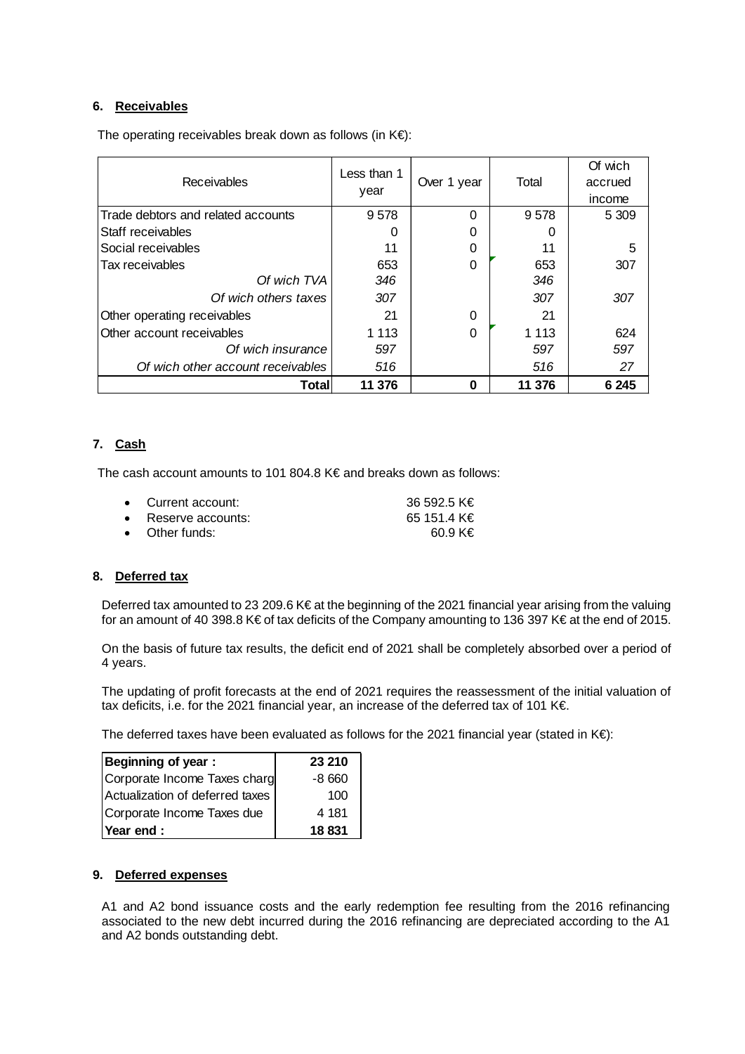# **6. Receivables**

The operating receivables break down as follows (in  $K \in \mathbb{R}$ :

| Receivables                        | Less than 1<br>year | Over 1 year | Total   | Of wich<br>accrued<br>income |
|------------------------------------|---------------------|-------------|---------|------------------------------|
| Trade debtors and related accounts | 9578                | 0           | 9578    | 5 3 0 9                      |
| <b>Staff receivables</b>           | O                   | O           | O       |                              |
| Social receivables                 | 11                  | O           | 11      |                              |
| Tax receivables                    | 653                 | 0           | 653     | 307                          |
| Of wich TVA                        | 346                 |             | 346     |                              |
| Of wich others taxes               | 307                 |             | 307     | 307                          |
| Other operating receivables        | 21                  | 0           | 21      |                              |
| Other account receivables          | 1 1 1 3             | 0           | 1 1 1 3 | 624                          |
| Of wich insurance                  | 597                 |             | 597     | 597                          |
| Of wich other account receivables  | 516                 |             | 516     | 27                           |
| Total                              | 11 376              | O           | 11 376  | 6 2 4 5                      |

# **7. Cash**

The cash account amounts to 101 804.8 K€ and breaks down as follows:

| • Current account:          | 36 592.5 K€ |
|-----------------------------|-------------|
| $\bullet$ Reserve accounts: | 65 151.4 K€ |
| $\bullet$ Other funds:      | $60.9$ KE   |

## **8. Deferred tax**

Deferred tax amounted to 23 209.6 K€ at the beginning of the 2021 financial year arising from the valuing for an amount of 40 398.8 K€ of tax deficits of the Company amounting to 136 397 K€ at the end of 2015.

On the basis of future tax results, the deficit end of 2021 shall be completely absorbed over a period of 4 years.

The updating of profit forecasts at the end of 2021 requires the reassessment of the initial valuation of tax deficits, i.e. for the 2021 financial year, an increase of the deferred tax of 101 K€.

The deferred taxes have been evaluated as follows for the 2021 financial year (stated in K€):

| Beginning of year:              | 23 210  |
|---------------------------------|---------|
| Corporate Income Taxes charg    | $-8660$ |
| Actualization of deferred taxes | 100     |
| Corporate Income Taxes due      | 4 181   |
| Year end :                      | 18 831  |

## **9. Deferred expenses**

A1 and A2 bond issuance costs and the early redemption fee resulting from the 2016 refinancing associated to the new debt incurred during the 2016 refinancing are depreciated according to the A1 and A2 bonds outstanding debt.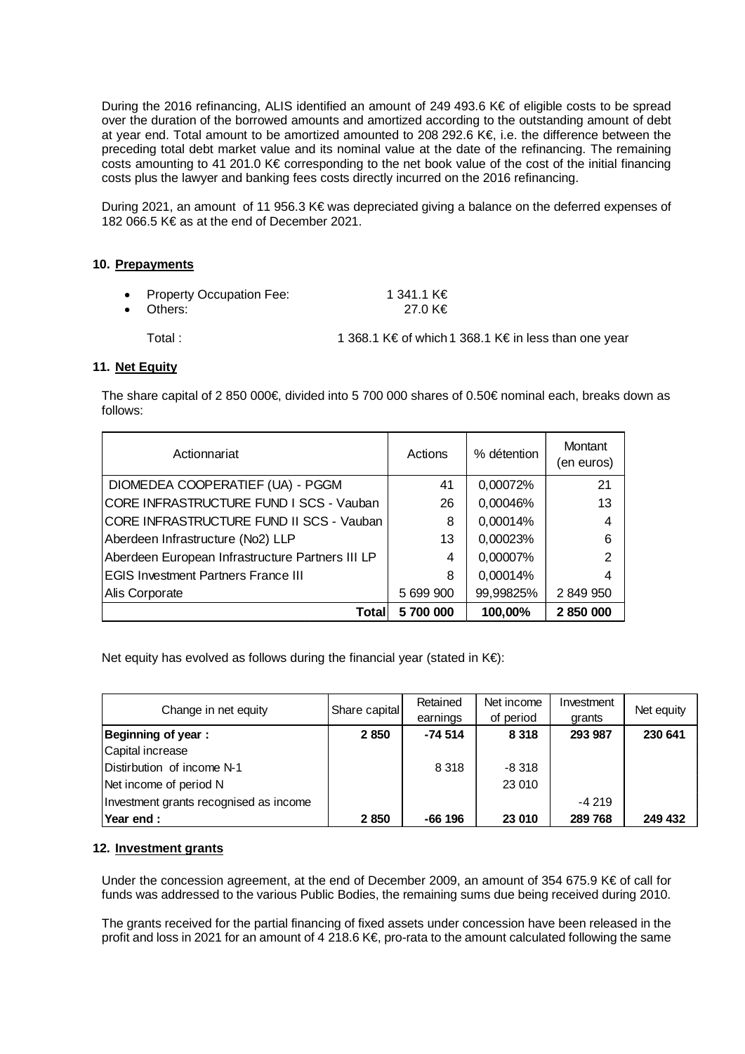During the 2016 refinancing, ALIS identified an amount of 249 493.6 K€ of eligible costs to be spread over the duration of the borrowed amounts and amortized according to the outstanding amount of debt at year end. Total amount to be amortized amounted to 208 292.6 K€, i.e. the difference between the preceding total debt market value and its nominal value at the date of the refinancing. The remaining costs amounting to 41 201.0 K€ corresponding to the net book value of the cost of the initial financing costs plus the lawyer and banking fees costs directly incurred on the 2016 refinancing.

During 2021, an amount of 11 956.3 K€ was depreciated giving a balance on the deferred expenses of 182 066.5 K€ as at the end of December 2021.

## **10. Prepayments**

| • Property Occupation Fee:<br>• Others: | 1 341.1 K€<br>27.0 K€ |
|-----------------------------------------|-----------------------|
|                                         | .                     |

Total : 1 368.1 K€ of which 1 368.1 K€ in less than one year

## **11. Net Equity**

The share capital of 2 850 000€, divided into 5 700 000 shares of 0.50€ nominal each, breaks down as follows:

| Actionnariat                                     | Actions   | % détention | <b>Montant</b><br>(en euros) |
|--------------------------------------------------|-----------|-------------|------------------------------|
| DIOMEDEA COOPERATIEF (UA) - PGGM                 | 41        | 0,00072%    | 21                           |
| CORE INFRASTRUCTURE FUND I SCS - Vauban          | 26        | 0,00046%    | 13                           |
| CORE INFRASTRUCTURE FUND II SCS - Vauban         | 8         | 0,00014%    | 4                            |
| Aberdeen Infrastructure (No2) LLP                | 13        | 0,00023%    | 6                            |
| Aberdeen European Infrastructure Partners III LP | 4         | 0,00007%    | 2                            |
| <b>EGIS Investment Partners France III</b>       | 8         | 0,00014%    | 4                            |
| Alis Corporate                                   | 5 699 900 | 99,99825%   | 2 849 950                    |
| Total                                            | 5 700 000 | 100,00%     | 2850000                      |

Net equity has evolved as follows during the financial year (stated in K€):

| Change in net equity                   | Share capital | Retained  | Net income | Investment | Net equity |
|----------------------------------------|---------------|-----------|------------|------------|------------|
|                                        |               | earnings  | of period  | grants     |            |
| <b>Beginning of year:</b>              | 2850          | $-74.514$ | 8 3 1 8    | 293 987    | 230 641    |
| Capital increase                       |               |           |            |            |            |
| Distirbution of income N-1             |               | 8 3 1 8   | $-8.318$   |            |            |
| Net income of period N                 |               |           | 23 010     |            |            |
| Investment grants recognised as income |               |           |            | $-4219$    |            |
| Year end:                              | 2850          | -66 196   | 23 010     | 289768     | 249 432    |

## **12. Investment grants**

Under the concession agreement, at the end of December 2009, an amount of 354 675.9 K€ of call for funds was addressed to the various Public Bodies, the remaining sums due being received during 2010.

The grants received for the partial financing of fixed assets under concession have been released in the profit and loss in 2021 for an amount of 4 218.6 K€, pro-rata to the amount calculated following the same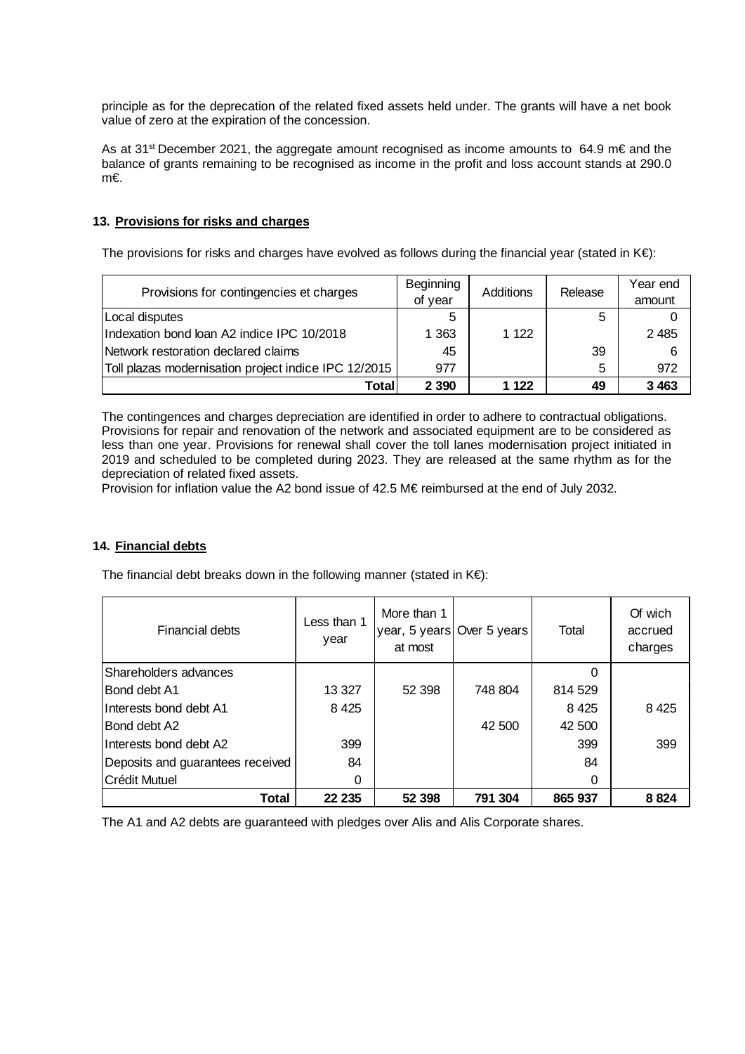principle as for the deprecation of the related fixed assets held under. The grants will have a net book value of zero at the expiration of the concession.

As at 31<sup>st</sup> December 2021, the aggregate amount recognised as income amounts to 64.9 m€ and the balance of grants remaining to be recognised as income in the profit and loss account stands at 290.0 m€.

## **13. Provisions for risks and charges**

The provisions for risks and charges have evolved as follows during the financial year (stated in  $K \epsilon$ ):

| Provisions for contingencies et charges              | Beginning<br>of year | Additions | Release | Year end<br>amount |
|------------------------------------------------------|----------------------|-----------|---------|--------------------|
| Local disputes                                       | 5                    |           | 5       |                    |
| Indexation bond loan A2 indice IPC 10/2018           | 1 363                | 1 1 2 2   |         | 2 4 8 5            |
| Network restoration declared claims                  | 45                   |           | 39      | 6                  |
| Toll plazas modernisation project indice IPC 12/2015 | 977                  |           | 5       | 972                |
| Total                                                | 2 3 9 0              | 1 1 2 2   | 49      | 3 4 6 3            |

The contingences and charges depreciation are identified in order to adhere to contractual obligations. Provisions for repair and renovation of the network and associated equipment are to be considered as less than one year. Provisions for renewal shall cover the toll lanes modernisation project initiated in 2019 and scheduled to be completed during 2023. They are released at the same rhythm as for the depreciation of related fixed assets.

Provision for inflation value the A2 bond issue of 42.5 M€ reimbursed at the end of July 2032.

## **14. Financial debts**

The financial debt breaks down in the following manner (stated in  $K \in \mathbb{R}$ ):

| <b>Financial debts</b>           | Less than 1<br>year | More than 1<br>at most | year, 5 years Over 5 years | Total   | Of wich<br>accrued<br>charges |
|----------------------------------|---------------------|------------------------|----------------------------|---------|-------------------------------|
| Shareholders advances            |                     |                        |                            |         |                               |
| Bond debt A1                     | 13 3 27             | 52 398                 | 748 804                    | 814 529 |                               |
| Interests bond debt A1           | 8 4 2 5             |                        |                            | 8 4 2 5 | 8 4 2 5                       |
| Bond debt A2                     |                     |                        | 42 500                     | 42 500  |                               |
| Interests bond debt A2           | 399                 |                        |                            | 399     | 399                           |
| Deposits and guarantees received | 84                  |                        |                            | 84      |                               |
| Crédit Mutuel                    | 0                   |                        |                            | 0       |                               |
| Total                            | 22 235              | 52 398                 | 791 304                    | 865 937 | 8824                          |

The A1 and A2 debts are guaranteed with pledges over Alis and Alis Corporate shares.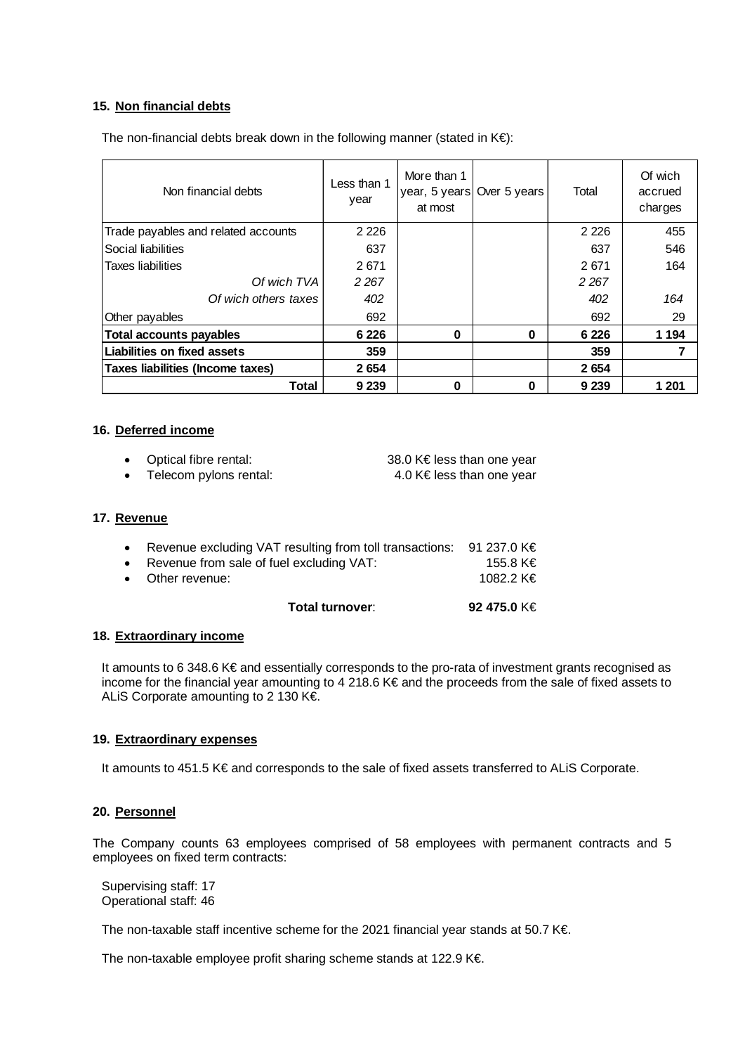## **15. Non financial debts**

The non-financial debts break down in the following manner (stated in  $K \in \mathbb{R}$ ):

| Non financial debts                 | Less than 1<br>year | More than 1<br>at most | year, 5 years Over 5 years | Total   | Of wich<br>accrued<br>charges |
|-------------------------------------|---------------------|------------------------|----------------------------|---------|-------------------------------|
| Trade payables and related accounts | 2 2 2 6             |                        |                            | 2 2 2 6 | 455                           |
| Social liabilities                  | 637                 |                        |                            | 637     | 546                           |
| Taxes liabilities                   | 2671                |                        |                            | 2671    | 164                           |
| Of wich TVA                         | 2 2 6 7             |                        |                            | 2 2 6 7 |                               |
| Of wich others taxes                | 402                 |                        |                            | 402     | 164                           |
| Other payables                      | 692                 |                        |                            | 692     | 29                            |
| <b>Total accounts payables</b>      | 6 2 2 6             | $\bf{0}$               | $\bf{0}$                   | 6 2 2 6 | 1 1 9 4                       |
| Liabilities on fixed assets         | 359                 |                        |                            | 359     |                               |
| Taxes liabilities (Income taxes)    | 2654                |                        |                            | 2654    |                               |
| <b>Total</b>                        | 9 2 3 9             | 0                      | 0                          | 9 2 3 9 | 1 201                         |

## **16. Deferred income**

| Optical fibre rental:  | 38.0 K€ less than one year |
|------------------------|----------------------------|
| Telecom pylons rental: | 4.0 K E less than one year |

#### **17. Revenue**

| Total turnover:                                                            | 92 475.0 K€ |
|----------------------------------------------------------------------------|-------------|
| • Other revenue:                                                           | 1082.2 K€   |
| • Revenue from sale of fuel excluding VAT:                                 | 155.8 K€    |
| • Revenue excluding VAT resulting from toll transactions: 91 237.0 $K \in$ |             |

## **18. Extraordinary income**

It amounts to 6 348.6 K€ and essentially corresponds to the pro-rata of investment grants recognised as income for the financial year amounting to 4 218.6 K€ and the proceeds from the sale of fixed assets to ALiS Corporate amounting to 2 130 K€.

#### **19. Extraordinary expenses**

It amounts to 451.5 K€ and corresponds to the sale of fixed assets transferred to ALiS Corporate.

## **20. Personnel**

The Company counts 63 employees comprised of 58 employees with permanent contracts and 5 employees on fixed term contracts:

Supervising staff: 17 Operational staff: 46

The non-taxable staff incentive scheme for the 2021 financial year stands at 50.7 K€.

The non-taxable employee profit sharing scheme stands at 122.9 K€.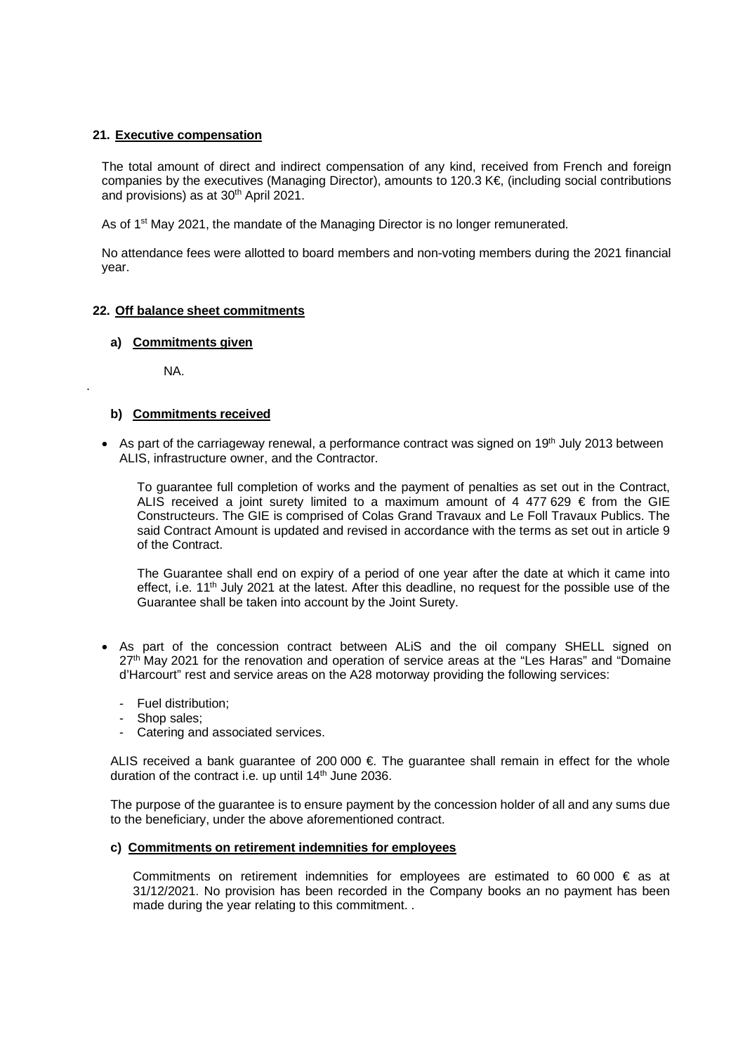## **21. Executive compensation**

The total amount of direct and indirect compensation of any kind, received from French and foreign companies by the executives (Managing Director), amounts to 120.3 K€, (including social contributions and provisions) as at 30<sup>th</sup> April 2021.

As of 1<sup>st</sup> May 2021, the mandate of the Managing Director is no longer remunerated.

No attendance fees were allotted to board members and non-voting members during the 2021 financial year.

## **22. Off balance sheet commitments**

## **a) Commitments given**

NA.

.

## **b) Commitments received**

• As part of the carriageway renewal, a performance contract was signed on 19<sup>th</sup> July 2013 between ALIS, infrastructure owner, and the Contractor.

To guarantee full completion of works and the payment of penalties as set out in the Contract, ALIS received a joint surety limited to a maximum amount of 4 477 629  $\epsilon$  from the GIE Constructeurs. The GIE is comprised of Colas Grand Travaux and Le Foll Travaux Publics. The said Contract Amount is updated and revised in accordance with the terms as set out in article 9 of the Contract.

The Guarantee shall end on expiry of a period of one year after the date at which it came into effect, i.e. 11<sup>th</sup> July 2021 at the latest. After this deadline, no request for the possible use of the Guarantee shall be taken into account by the Joint Surety.

- As part of the concession contract between ALiS and the oil company SHELL signed on 27<sup>th</sup> May 2021 for the renovation and operation of service areas at the "Les Haras" and "Domaine d'Harcourt" rest and service areas on the A28 motorway providing the following services:
	- Fuel distribution;
	- Shop sales;
	- Catering and associated services.

ALIS received a bank guarantee of 200 000  $\epsilon$ . The guarantee shall remain in effect for the whole duration of the contract i.e. up until 14<sup>th</sup> June 2036.

The purpose of the guarantee is to ensure payment by the concession holder of all and any sums due to the beneficiary, under the above aforementioned contract.

## **c) Commitments on retirement indemnities for employees**

Commitments on retirement indemnities for employees are estimated to  $60\,000 \in \text{as at }$ 31/12/2021. No provision has been recorded in the Company books an no payment has been made during the year relating to this commitment. .